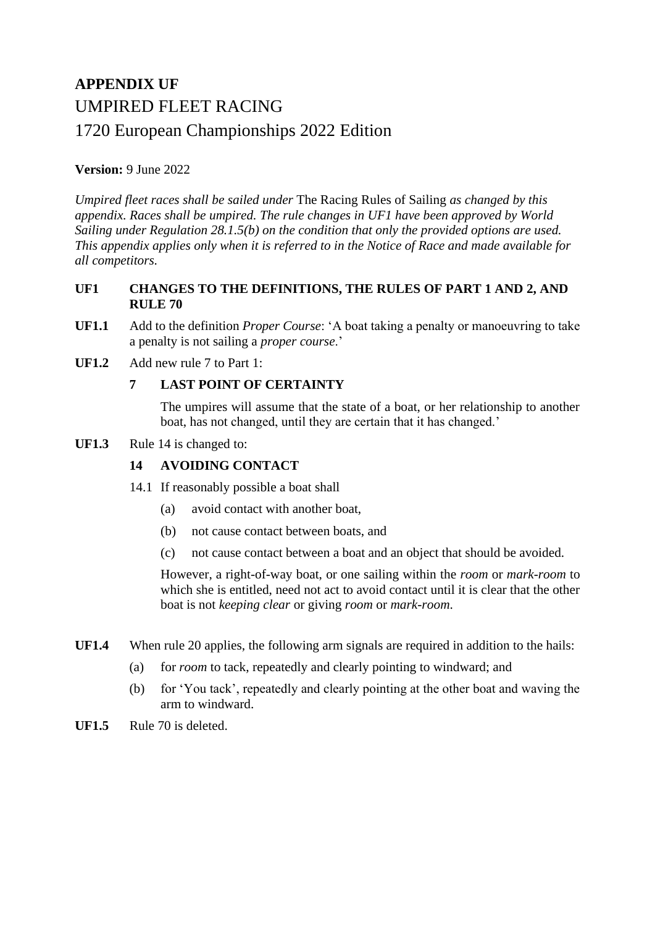# **APPENDIX UF** UMPIRED FLEET RACING 1720 European Championships 2022 Edition

# **Version:** 9 June 2022

*Umpired fleet races shall be sailed under* The Racing Rules of Sailing *as changed by this appendix. Races shall be umpired. The rule changes in UF1 have been approved by World Sailing under Regulation 28.1.5(b) on the condition that only the provided options are used. This appendix applies only when it is referred to in the Notice of Race and made available for all competitors.*

## **UF1 CHANGES TO THE DEFINITIONS, THE RULES OF PART 1 AND 2, AND RULE 70**

- **UF1.1** Add to the definition *Proper Course*: 'A boat taking a penalty or manoeuvring to take a penalty is not sailing a *proper course*.'
- **UF1.2** Add new rule 7 to Part 1:

# **7 LAST POINT OF CERTAINTY**

The umpires will assume that the state of a boat, or her relationship to another boat, has not changed, until they are certain that it has changed.'

## **UF1.3** Rule 14 is changed to:

# **14 AVOIDING CONTACT**

- 14.1 If reasonably possible a boat shall
	- (a) avoid contact with another boat,
	- (b) not cause contact between boats, and
	- (c) not cause contact between a boat and an object that should be avoided.

However, a right-of-way boat, or one sailing within the *room* or *mark-room* to which she is entitled, need not act to avoid contact until it is clear that the other boat is not *keeping clear* or giving *room* or *mark-room*.

- **UF1.4** When rule 20 applies, the following arm signals are required in addition to the hails:
	- (a) for *room* to tack, repeatedly and clearly pointing to windward; and
	- (b) for 'You tack', repeatedly and clearly pointing at the other boat and waving the arm to windward.
- **UF1.5** Rule 70 is deleted.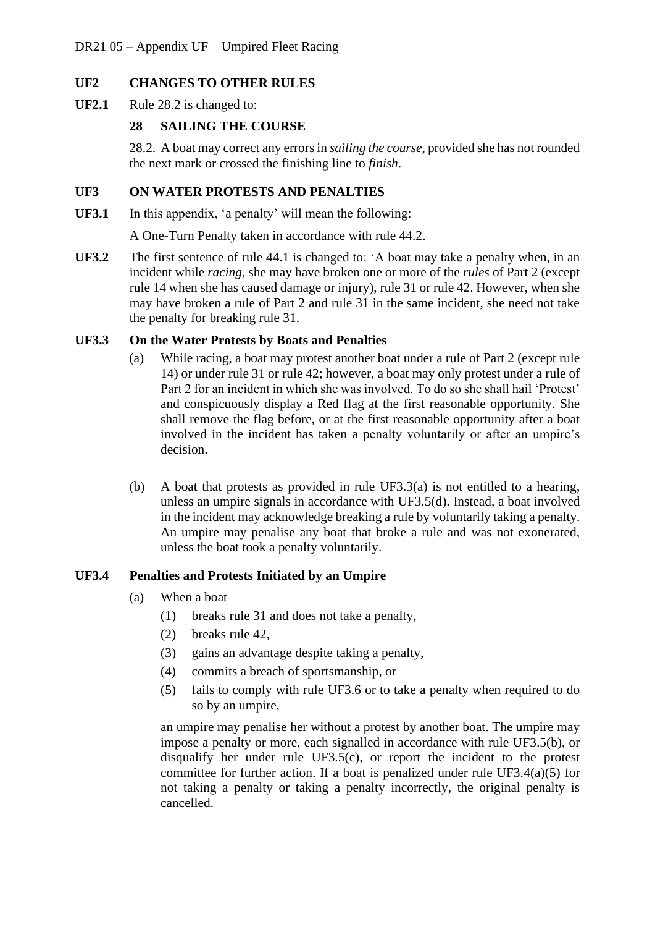## **UF2 CHANGES TO OTHER RULES**

**UF2.1** Rule 28.2 is changed to:

## **28 SAILING THE COURSE**

28.2. A boat may correct any errors in *sailing the course*, provided she has not rounded the next mark or crossed the finishing line to *finish*.

#### **UF3 ON WATER PROTESTS AND PENALTIES**

**UF3.1** In this appendix, 'a penalty' will mean the following:

A One-Turn Penalty taken in accordance with rule 44.2.

**UF3.2** The first sentence of rule 44.1 is changed to: 'A boat may take a penalty when, in an incident while *racing*, she may have broken one or more of the *rules* of Part 2 (except rule 14 when she has caused damage or injury), rule 31 or rule 42. However, when she may have broken a rule of Part 2 and rule 31 in the same incident, she need not take the penalty for breaking rule 31.

#### **UF3.3 On the Water Protests by Boats and Penalties**

- (a) While racing, a boat may protest another boat under a rule of Part 2 (except rule 14) or under rule 31 or rule 42; however, a boat may only protest under a rule of Part 2 for an incident in which she was involved. To do so she shall hail 'Protest' and conspicuously display a Red flag at the first reasonable opportunity. She shall remove the flag before, or at the first reasonable opportunity after a boat involved in the incident has taken a penalty voluntarily or after an umpire's decision.
- (b) A boat that protests as provided in rule UF3.3(a) is not entitled to a hearing, unless an umpire signals in accordance with UF3.5(d). Instead, a boat involved in the incident may acknowledge breaking a rule by voluntarily taking a penalty. An umpire may penalise any boat that broke a rule and was not exonerated, unless the boat took a penalty voluntarily.

## **UF3.4 Penalties and Protests Initiated by an Umpire**

- (a) When a boat
	- (1) breaks rule 31 and does not take a penalty,
	- (2) breaks rule 42,
	- (3) gains an advantage despite taking a penalty,
	- (4) commits a breach of sportsmanship, or
	- (5) fails to comply with rule UF3.6 or to take a penalty when required to do so by an umpire,

an umpire may penalise her without a protest by another boat. The umpire may impose a penalty or more, each signalled in accordance with rule UF3.5(b), or disqualify her under rule UF3.5(c), or report the incident to the protest committee for further action. If a boat is penalized under rule UF3.4(a)(5) for not taking a penalty or taking a penalty incorrectly, the original penalty is cancelled.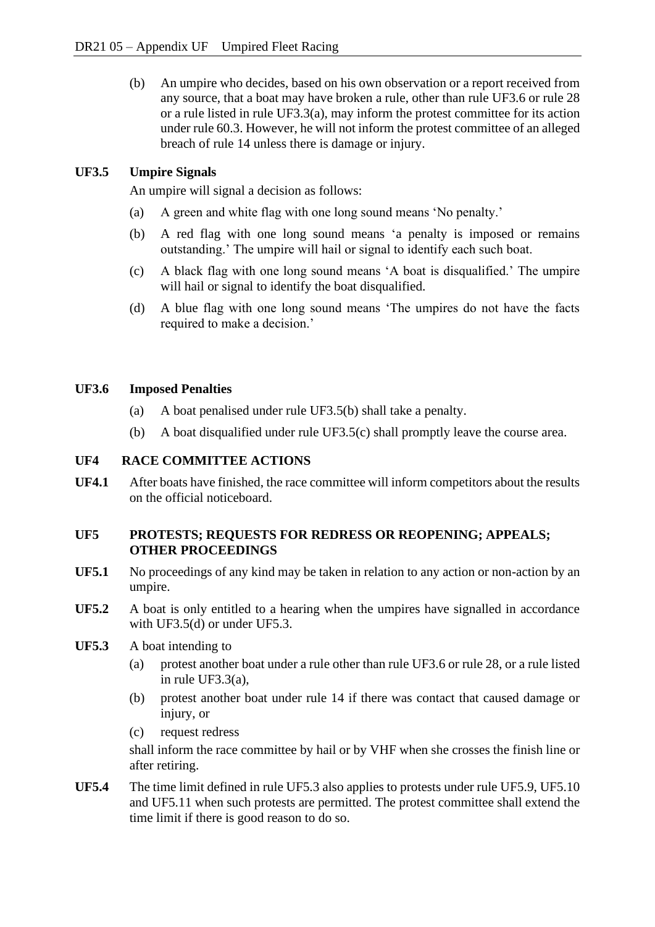(b) An umpire who decides, based on his own observation or a report received from any source, that a boat may have broken a rule, other than rule UF3.6 or rule 28 or a rule listed in rule UF3.3(a), may inform the protest committee for its action under rule 60.3. However, he will not inform the protest committee of an alleged breach of rule 14 unless there is damage or injury.

## **UF3.5 Umpire Signals**

An umpire will signal a decision as follows:

- (a) A green and white flag with one long sound means 'No penalty.'
- (b) A red flag with one long sound means 'a penalty is imposed or remains outstanding.' The umpire will hail or signal to identify each such boat.
- (c) A black flag with one long sound means 'A boat is disqualified.' The umpire will hail or signal to identify the boat disqualified.
- (d) A blue flag with one long sound means 'The umpires do not have the facts required to make a decision.'

#### **UF3.6 Imposed Penalties**

- (a) A boat penalised under rule UF3.5(b) shall take a penalty.
- (b) A boat disqualified under rule UF3.5(c) shall promptly leave the course area.

## **UF4 RACE COMMITTEE ACTIONS**

**UF4.1** After boats have finished, the race committee will inform competitors about the results on the official noticeboard.

## **UF5 PROTESTS; REQUESTS FOR REDRESS OR REOPENING; APPEALS; OTHER PROCEEDINGS**

- **UF5.1** No proceedings of any kind may be taken in relation to any action or non-action by an umpire.
- **UF5.2** A boat is only entitled to a hearing when the umpires have signalled in accordance with UF3.5(d) or under UF5.3.
- **UF5.3** A boat intending to
	- (a) protest another boat under a rule other than rule UF3.6 or rule 28, or a rule listed in rule UF3.3(a),
	- (b) protest another boat under rule 14 if there was contact that caused damage or injury, or
	- (c) request redress

shall inform the race committee by hail or by VHF when she crosses the finish line or after retiring.

**UF5.4** The time limit defined in rule UF5.3 also applies to protests under rule UF5.9, UF5.10 and UF5.11 when such protests are permitted. The protest committee shall extend the time limit if there is good reason to do so.